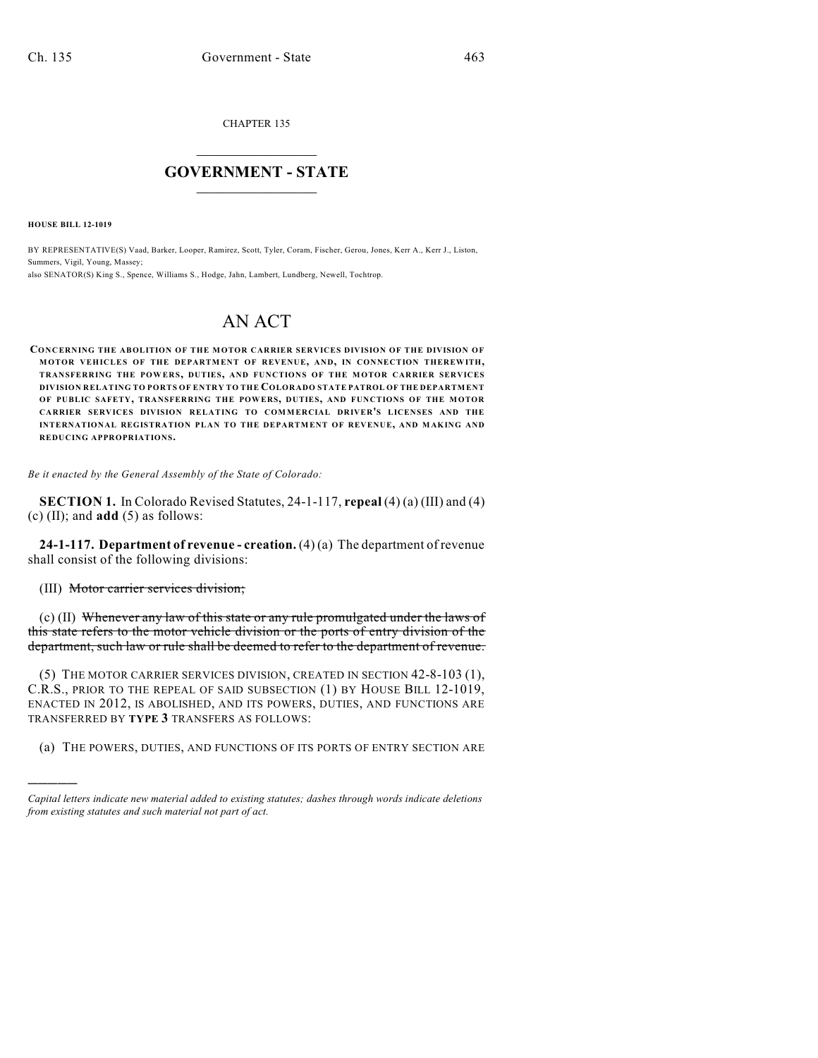CHAPTER 135

# $\mathcal{L}_\text{max}$  . The set of the set of the set of the set of the set of the set of the set of the set of the set of the set of the set of the set of the set of the set of the set of the set of the set of the set of the set **GOVERNMENT - STATE**  $\_$   $\_$

**HOUSE BILL 12-1019**

)))))

BY REPRESENTATIVE(S) Vaad, Barker, Looper, Ramirez, Scott, Tyler, Coram, Fischer, Gerou, Jones, Kerr A., Kerr J., Liston, Summers, Vigil, Young, Massey; also SENATOR(S) King S., Spence, Williams S., Hodge, Jahn, Lambert, Lundberg, Newell, Tochtrop.

# AN ACT

**CONCERNING THE ABOLITION OF THE MOTOR CARRIER SERVICES DIVISION OF THE DIVISION OF MOTOR VEHICLES OF THE DEPARTMENT OF REVENUE, AND, IN CONNECTION THEREWITH, TRANSFERRING THE POWERS, DUTIES, AND FUNCTIONS OF THE MOTOR CARRIER SERVICES DIVISION RELATING TO PORTS OF ENTRY TO THE COLORADO STATE PATROL OF THE DEPARTMENT OF PUBLIC SAFETY, TRANSFERRING THE POWERS, DUTIES, AND FUNCTIONS OF THE MOTOR CARRIER SERVICES DIVISION RELATING TO COMMERCIAL DRIVER'S LICENSES AND THE INTERNATIONAL REGISTRATION PLAN TO THE DEPARTMENT OF REVENUE, AND MAKING AND REDUCING APPROPRIATIONS.**

*Be it enacted by the General Assembly of the State of Colorado:*

**SECTION 1.** In Colorado Revised Statutes, 24-1-117, **repeal** (4) (a) (III) and (4) (c) (II); and **add** (5) as follows:

**24-1-117. Department of revenue - creation.** (4) (a) The department of revenue shall consist of the following divisions:

(III) Motor carrier services division;

(c) (II) Whenever any law of this state or any rule promulgated under the laws of this state refers to the motor vehicle division or the ports of entry division of the department, such law or rule shall be deemed to refer to the department of revenue.

(5) THE MOTOR CARRIER SERVICES DIVISION, CREATED IN SECTION 42-8-103 (1), C.R.S., PRIOR TO THE REPEAL OF SAID SUBSECTION (1) BY HOUSE BILL 12-1019, ENACTED IN 2012, IS ABOLISHED, AND ITS POWERS, DUTIES, AND FUNCTIONS ARE TRANSFERRED BY **TYPE 3** TRANSFERS AS FOLLOWS:

(a) THE POWERS, DUTIES, AND FUNCTIONS OF ITS PORTS OF ENTRY SECTION ARE

*Capital letters indicate new material added to existing statutes; dashes through words indicate deletions from existing statutes and such material not part of act.*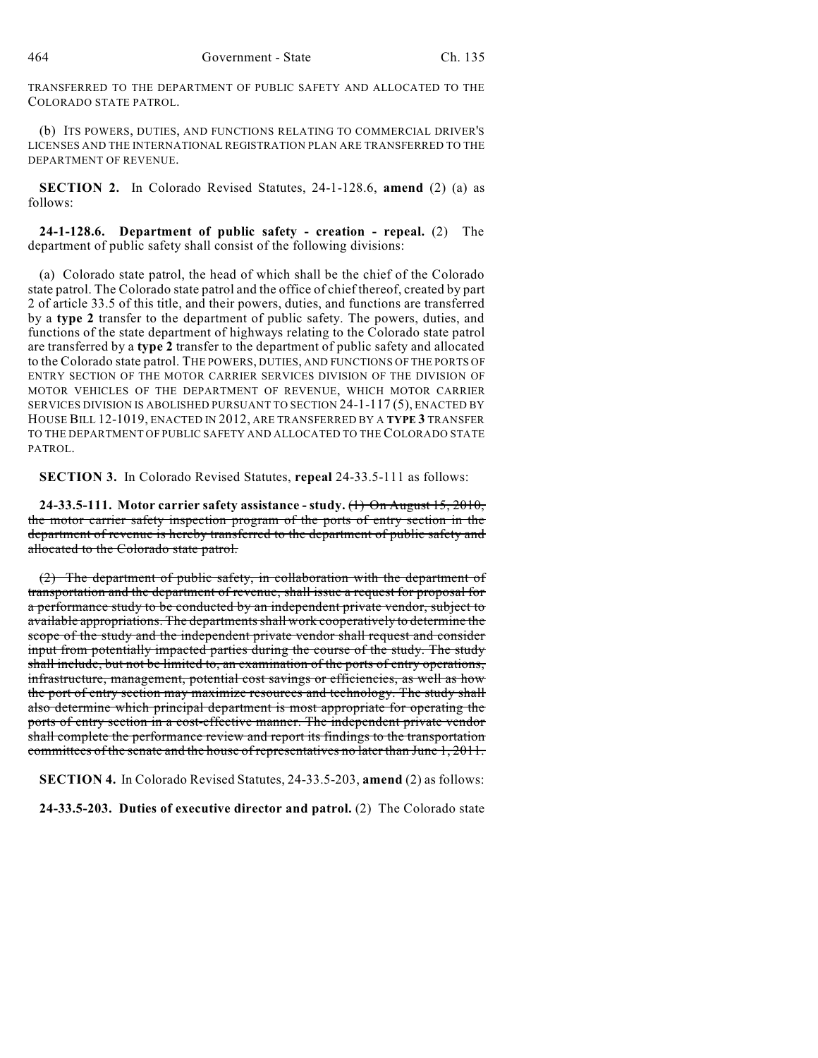TRANSFERRED TO THE DEPARTMENT OF PUBLIC SAFETY AND ALLOCATED TO THE COLORADO STATE PATROL.

(b) ITS POWERS, DUTIES, AND FUNCTIONS RELATING TO COMMERCIAL DRIVER'S LICENSES AND THE INTERNATIONAL REGISTRATION PLAN ARE TRANSFERRED TO THE DEPARTMENT OF REVENUE.

**SECTION 2.** In Colorado Revised Statutes, 24-1-128.6, **amend** (2) (a) as follows:

**24-1-128.6. Department of public safety - creation - repeal.** (2) The department of public safety shall consist of the following divisions:

(a) Colorado state patrol, the head of which shall be the chief of the Colorado state patrol. The Colorado state patrol and the office of chief thereof, created by part 2 of article 33.5 of this title, and their powers, duties, and functions are transferred by a **type 2** transfer to the department of public safety. The powers, duties, and functions of the state department of highways relating to the Colorado state patrol are transferred by a **type 2** transfer to the department of public safety and allocated to the Colorado state patrol. THE POWERS, DUTIES, AND FUNCTIONS OF THE PORTS OF ENTRY SECTION OF THE MOTOR CARRIER SERVICES DIVISION OF THE DIVISION OF MOTOR VEHICLES OF THE DEPARTMENT OF REVENUE, WHICH MOTOR CARRIER SERVICES DIVISION IS ABOLISHED PURSUANT TO SECTION 24-1-117 (5), ENACTED BY HOUSE BILL 12-1019, ENACTED IN 2012, ARE TRANSFERRED BY A **TYPE 3** TRANSFER TO THE DEPARTMENT OF PUBLIC SAFETY AND ALLOCATED TO THE COLORADO STATE PATROL.

**SECTION 3.** In Colorado Revised Statutes, **repeal** 24-33.5-111 as follows:

**24-33.5-111. Motor carrier safety assistance - study.** (1) On August 15, 2010, the motor carrier safety inspection program of the ports of entry section in the department of revenue is hereby transferred to the department of public safety and allocated to the Colorado state patrol.

(2) The department of public safety, in collaboration with the department of transportation and the department of revenue, shall issue a request for proposal for a performance study to be conducted by an independent private vendor, subject to available appropriations. The departments shall work cooperatively to determine the scope of the study and the independent private vendor shall request and consider input from potentially impacted parties during the course of the study. The study shall include, but not be limited to, an examination of the ports of entry operations, infrastructure, management, potential cost savings or efficiencies, as well as how the port of entry section may maximize resources and technology. The study shall also determine which principal department is most appropriate for operating the ports of entry section in a cost-effective manner. The independent private vendor shall complete the performance review and report its findings to the transportation committees of the senate and the house of representatives no later than June 1, 2011.

**SECTION 4.** In Colorado Revised Statutes, 24-33.5-203, **amend** (2) as follows:

**24-33.5-203. Duties of executive director and patrol.** (2) The Colorado state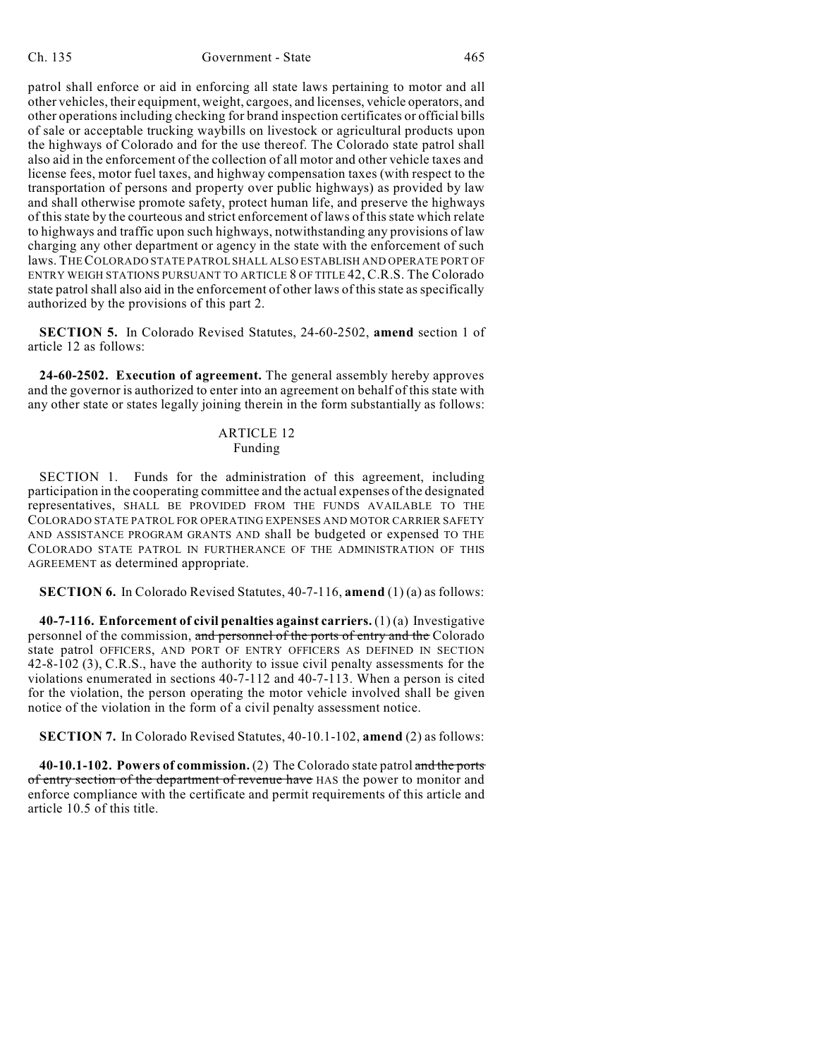#### Ch. 135 Government - State 465

patrol shall enforce or aid in enforcing all state laws pertaining to motor and all other vehicles, their equipment, weight, cargoes, and licenses, vehicle operators, and other operationsincluding checking for brand inspection certificates or official bills of sale or acceptable trucking waybills on livestock or agricultural products upon the highways of Colorado and for the use thereof. The Colorado state patrol shall also aid in the enforcement of the collection of all motor and other vehicle taxes and license fees, motor fuel taxes, and highway compensation taxes (with respect to the transportation of persons and property over public highways) as provided by law and shall otherwise promote safety, protect human life, and preserve the highways of this state by the courteous and strict enforcement of laws of this state which relate to highways and traffic upon such highways, notwithstanding any provisions of law charging any other department or agency in the state with the enforcement of such laws. THECOLORADO STATE PATROL SHALL ALSO ESTABLISH AND OPERATE PORT OF ENTRY WEIGH STATIONS PURSUANT TO ARTICLE 8 OF TITLE 42, C.R.S. The Colorado state patrol shall also aid in the enforcement of other laws of this state as specifically authorized by the provisions of this part 2.

**SECTION 5.** In Colorado Revised Statutes, 24-60-2502, **amend** section 1 of article 12 as follows:

**24-60-2502. Execution of agreement.** The general assembly hereby approves and the governor is authorized to enter into an agreement on behalf of this state with any other state or states legally joining therein in the form substantially as follows:

#### ARTICLE 12 Funding

SECTION 1. Funds for the administration of this agreement, including participation in the cooperating committee and the actual expenses of the designated representatives, SHALL BE PROVIDED FROM THE FUNDS AVAILABLE TO THE COLORADO STATE PATROL FOR OPERATING EXPENSES AND MOTOR CARRIER SAFETY AND ASSISTANCE PROGRAM GRANTS AND shall be budgeted or expensed TO THE COLORADO STATE PATROL IN FURTHERANCE OF THE ADMINISTRATION OF THIS AGREEMENT as determined appropriate.

**SECTION 6.** In Colorado Revised Statutes, 40-7-116, **amend** (1) (a) as follows:

**40-7-116. Enforcement of civil penalties against carriers.** (1) (a) Investigative personnel of the commission, and personnel of the ports of entry and the Colorado state patrol OFFICERS, AND PORT OF ENTRY OFFICERS AS DEFINED IN SECTION 42-8-102 (3), C.R.S., have the authority to issue civil penalty assessments for the violations enumerated in sections 40-7-112 and 40-7-113. When a person is cited for the violation, the person operating the motor vehicle involved shall be given notice of the violation in the form of a civil penalty assessment notice.

**SECTION 7.** In Colorado Revised Statutes, 40-10.1-102, **amend** (2) as follows:

**40-10.1-102. Powers of commission.** (2) The Colorado state patrol and the ports of entry section of the department of revenue have HAS the power to monitor and enforce compliance with the certificate and permit requirements of this article and article 10.5 of this title.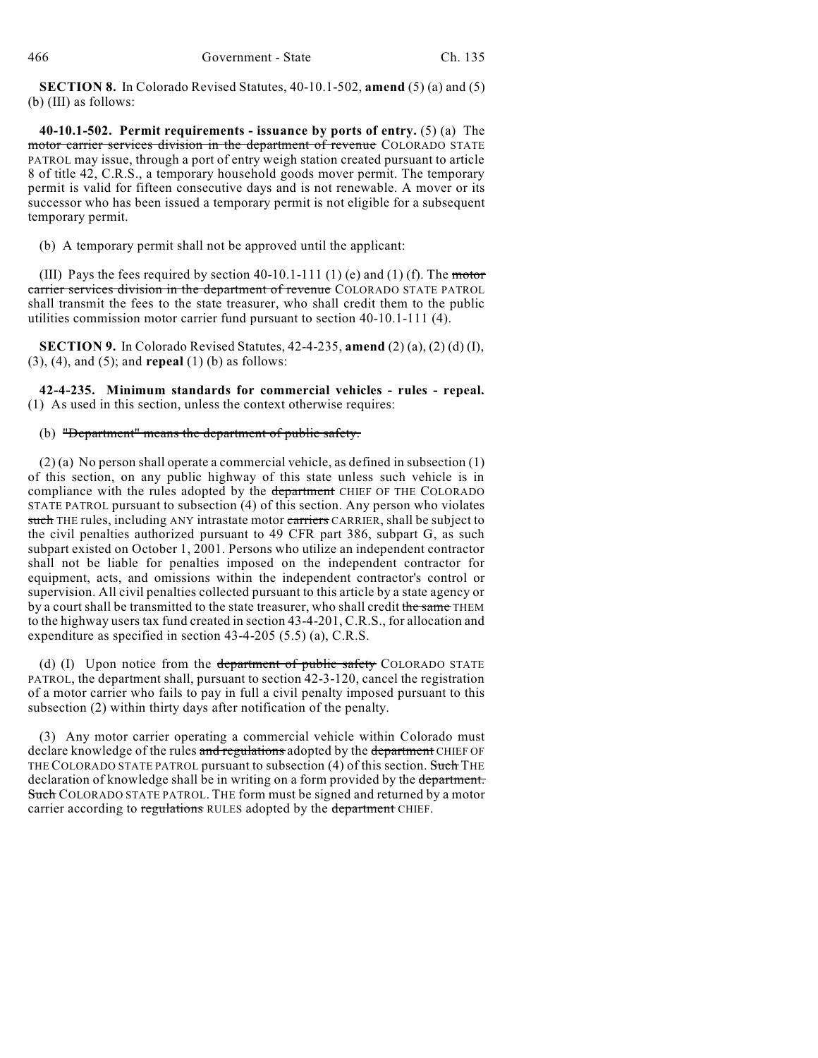**SECTION 8.** In Colorado Revised Statutes, 40-10.1-502, **amend** (5) (a) and (5) (b) (III) as follows:

**40-10.1-502. Permit requirements - issuance by ports of entry.** (5) (a) The motor carrier services division in the department of revenue COLORADO STATE PATROL may issue, through a port of entry weigh station created pursuant to article 8 of title 42, C.R.S., a temporary household goods mover permit. The temporary permit is valid for fifteen consecutive days and is not renewable. A mover or its successor who has been issued a temporary permit is not eligible for a subsequent temporary permit.

(b) A temporary permit shall not be approved until the applicant:

(III) Pays the fees required by section  $40-10.1-111$  (1) (e) and (1) (f). The motor carrier services division in the department of revenue COLORADO STATE PATROL shall transmit the fees to the state treasurer, who shall credit them to the public utilities commission motor carrier fund pursuant to section 40-10.1-111 (4).

**SECTION 9.** In Colorado Revised Statutes, 42-4-235, **amend** (2) (a), (2) (d) (I), (3), (4), and (5); and **repeal** (1) (b) as follows:

**42-4-235. Minimum standards for commercial vehicles - rules - repeal.** (1) As used in this section, unless the context otherwise requires:

## (b) "Department" means the department of public safety.

(2) (a) No person shall operate a commercial vehicle, as defined in subsection (1) of this section, on any public highway of this state unless such vehicle is in compliance with the rules adopted by the department CHIEF OF THE COLORADO STATE PATROL pursuant to subsection (4) of this section. Any person who violates such THE rules, including ANY intrastate motor carriers CARRIER, shall be subject to the civil penalties authorized pursuant to 49 CFR part 386, subpart G, as such subpart existed on October 1, 2001. Persons who utilize an independent contractor shall not be liable for penalties imposed on the independent contractor for equipment, acts, and omissions within the independent contractor's control or supervision. All civil penalties collected pursuant to this article by a state agency or by a court shall be transmitted to the state treasurer, who shall credit the same THEM to the highway users tax fund created in section 43-4-201, C.R.S., for allocation and expenditure as specified in section 43-4-205 (5.5) (a), C.R.S.

(d) (I) Upon notice from the department of public safety COLORADO STATE PATROL, the department shall, pursuant to section 42-3-120, cancel the registration of a motor carrier who fails to pay in full a civil penalty imposed pursuant to this subsection (2) within thirty days after notification of the penalty.

(3) Any motor carrier operating a commercial vehicle within Colorado must declare knowledge of the rules and regulations adopted by the department CHIEF OF THE COLORADO STATE PATROL pursuant to subsection (4) of this section. Such THE declaration of knowledge shall be in writing on a form provided by the department. Such COLORADO STATE PATROL. THE form must be signed and returned by a motor carrier according to regulations RULES adopted by the department CHIEF.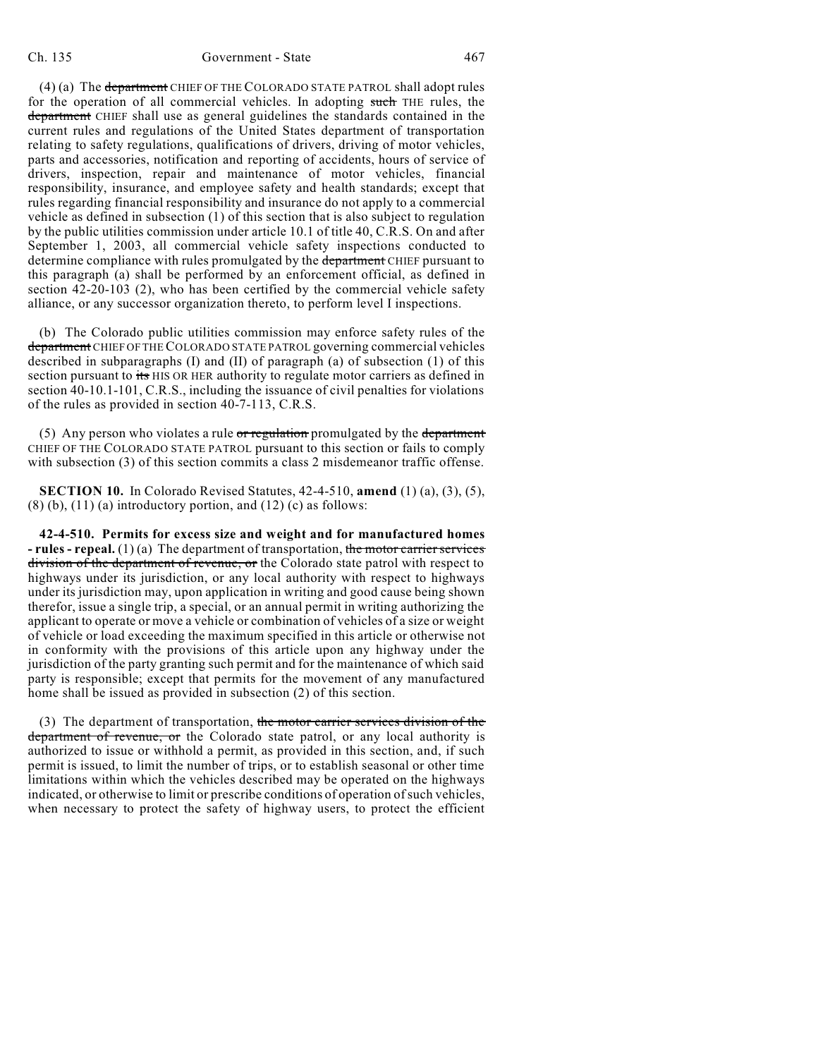#### Ch. 135 Government - State 467

(4) (a) The department CHIEF OF THE COLORADO STATE PATROL shall adopt rules

for the operation of all commercial vehicles. In adopting such THE rules, the department CHIEF shall use as general guidelines the standards contained in the current rules and regulations of the United States department of transportation relating to safety regulations, qualifications of drivers, driving of motor vehicles, parts and accessories, notification and reporting of accidents, hours of service of drivers, inspection, repair and maintenance of motor vehicles, financial responsibility, insurance, and employee safety and health standards; except that rules regarding financial responsibility and insurance do not apply to a commercial vehicle as defined in subsection (1) of this section that is also subject to regulation by the public utilities commission under article 10.1 of title 40, C.R.S. On and after September 1, 2003, all commercial vehicle safety inspections conducted to determine compliance with rules promulgated by the department CHIEF pursuant to this paragraph (a) shall be performed by an enforcement official, as defined in section 42-20-103 (2), who has been certified by the commercial vehicle safety alliance, or any successor organization thereto, to perform level I inspections.

(b) The Colorado public utilities commission may enforce safety rules of the department CHIEF OF THE COLORADO STATE PATROL governing commercial vehicles described in subparagraphs (I) and (II) of paragraph (a) of subsection (1) of this section pursuant to its HIS OR HER authority to regulate motor carriers as defined in section 40-10.1-101, C.R.S., including the issuance of civil penalties for violations of the rules as provided in section 40-7-113, C.R.S.

(5) Any person who violates a rule or regulation promulgated by the department CHIEF OF THE COLORADO STATE PATROL pursuant to this section or fails to comply with subsection (3) of this section commits a class 2 misdemeanor traffic offense.

**SECTION 10.** In Colorado Revised Statutes, 42-4-510, **amend** (1) (a), (3), (5),  $(8)$  (b),  $(11)$  (a) introductory portion, and  $(12)$  (c) as follows:

**42-4-510. Permits for excess size and weight and for manufactured homes - rules** - **repeal.** (1)(a) The department of transportation, the motor carrier services division of the department of revenue, or the Colorado state patrol with respect to highways under its jurisdiction, or any local authority with respect to highways under its jurisdiction may, upon application in writing and good cause being shown therefor, issue a single trip, a special, or an annual permit in writing authorizing the applicant to operate or move a vehicle or combination of vehicles of a size or weight of vehicle or load exceeding the maximum specified in this article or otherwise not in conformity with the provisions of this article upon any highway under the jurisdiction of the party granting such permit and for the maintenance of which said party is responsible; except that permits for the movement of any manufactured home shall be issued as provided in subsection (2) of this section.

(3) The department of transportation, the motor carrier services division of the department of revenue, or the Colorado state patrol, or any local authority is authorized to issue or withhold a permit, as provided in this section, and, if such permit is issued, to limit the number of trips, or to establish seasonal or other time limitations within which the vehicles described may be operated on the highways indicated, or otherwise to limit or prescribe conditions of operation of such vehicles, when necessary to protect the safety of highway users, to protect the efficient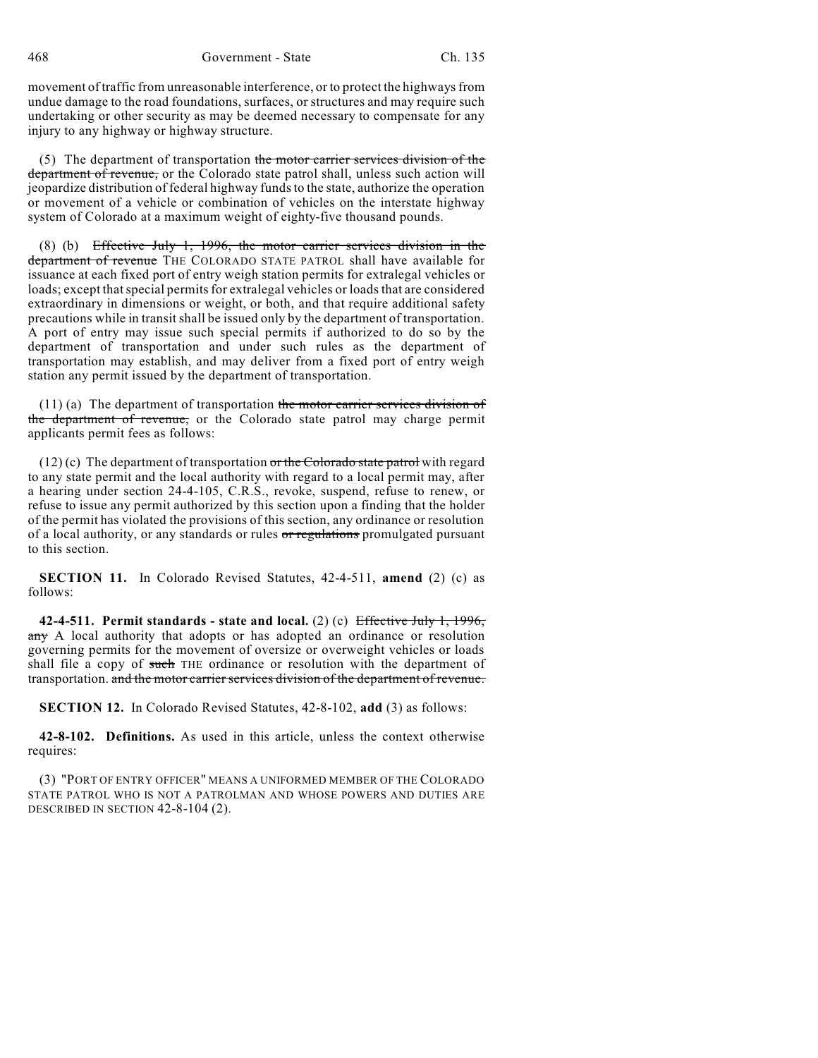468 Government - State Ch. 135

movement of traffic from unreasonable interference, or to protect the highways from undue damage to the road foundations, surfaces, or structures and may require such undertaking or other security as may be deemed necessary to compensate for any injury to any highway or highway structure.

(5) The department of transportation the motor carrier services division of the department of revenue, or the Colorado state patrol shall, unless such action will jeopardize distribution of federal highway funds to the state, authorize the operation or movement of a vehicle or combination of vehicles on the interstate highway system of Colorado at a maximum weight of eighty-five thousand pounds.

(8) (b) Effective July 1, 1996, the motor carrier services division in the department of revenue THE COLORADO STATE PATROL shall have available for issuance at each fixed port of entry weigh station permits for extralegal vehicles or loads; except that special permits for extralegal vehicles or loads that are considered extraordinary in dimensions or weight, or both, and that require additional safety precautions while in transitshall be issued only by the department of transportation. A port of entry may issue such special permits if authorized to do so by the department of transportation and under such rules as the department of transportation may establish, and may deliver from a fixed port of entry weigh station any permit issued by the department of transportation.

(11) (a) The department of transportation the motor carrier services division of the department of revenue, or the Colorado state patrol may charge permit applicants permit fees as follows:

 $(12)$  (c) The department of transportation or the Colorado state patrol with regard to any state permit and the local authority with regard to a local permit may, after a hearing under section 24-4-105, C.R.S., revoke, suspend, refuse to renew, or refuse to issue any permit authorized by this section upon a finding that the holder of the permit has violated the provisions of this section, any ordinance or resolution of a local authority, or any standards or rules or regulations promulgated pursuant to this section.

**SECTION 11.** In Colorado Revised Statutes, 42-4-511, **amend** (2) (c) as follows:

**42-4-511. Permit standards - state and local.** (2) (c) Effective July 1, 1996, any A local authority that adopts or has adopted an ordinance or resolution governing permits for the movement of oversize or overweight vehicles or loads shall file a copy of such THE ordinance or resolution with the department of transportation. and the motor carrier services division of the department of revenue.

**SECTION 12.** In Colorado Revised Statutes, 42-8-102, **add** (3) as follows:

**42-8-102. Definitions.** As used in this article, unless the context otherwise requires:

(3) "PORT OF ENTRY OFFICER" MEANS A UNIFORMED MEMBER OF THE COLORADO STATE PATROL WHO IS NOT A PATROLMAN AND WHOSE POWERS AND DUTIES ARE DESCRIBED IN SECTION 42-8-104 (2).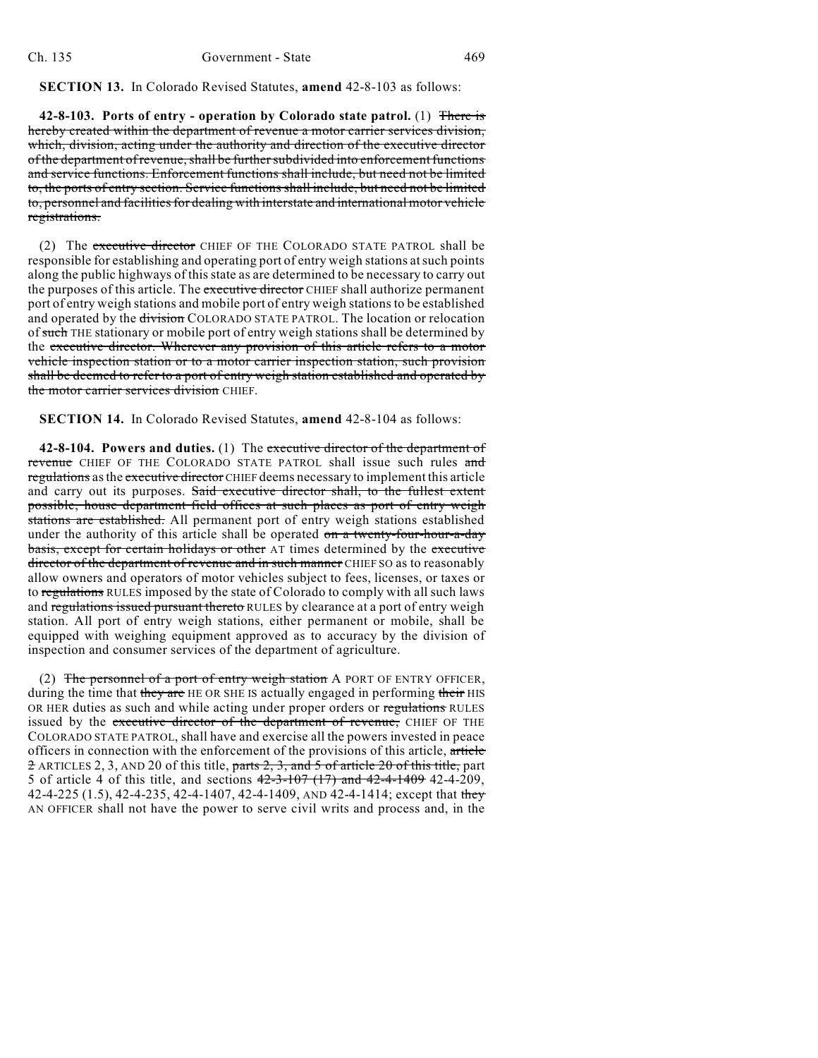**SECTION 13.** In Colorado Revised Statutes, **amend** 42-8-103 as follows:

**42-8-103. Ports of entry - operation by Colorado state patrol.** (1) There is hereby created within the department of revenue a motor carrier services division, which, division, acting under the authority and direction of the executive director of the department of revenue, shall be further subdivided into enforcement functions and service functions. Enforcement functions shall include, but need not be limited to, the ports of entry section. Service functions shall include, but need not be limited to, personnel and facilities for dealing with interstate and international motor vehicle registrations.

(2) The executive director CHIEF OF THE COLORADO STATE PATROL shall be responsible for establishing and operating port of entry weigh stations atsuch points along the public highways of this state as are determined to be necessary to carry out the purposes of this article. The executive director CHIEF shall authorize permanent port of entry weigh stations and mobile port of entry weigh stations to be established and operated by the division COLORADO STATE PATROL. The location or relocation of such THE stationary or mobile port of entry weigh stations shall be determined by the executive director. Wherever any provision of this article refers to a motor vehicle inspection station or to a motor carrier inspection station, such provision shall be deemed to refer to a port of entry weigh station established and operated by the motor carrier services division CHIEF.

**SECTION 14.** In Colorado Revised Statutes, **amend** 42-8-104 as follows:

**42-8-104. Powers and duties.** (1) The executive director of the department of revenue CHIEF OF THE COLORADO STATE PATROL shall issue such rules and regulations as the executive director CHIEF deems necessary to implement this article and carry out its purposes. Said executive director shall, to the fullest extent possible, house department field offices at such places as port of entry weigh stations are established. All permanent port of entry weigh stations established under the authority of this article shall be operated on a twenty-four-hour-a-day basis, except for certain holidays or other AT times determined by the executive director of the department of revenue and in such manner CHIEF SO as to reasonably allow owners and operators of motor vehicles subject to fees, licenses, or taxes or to regulations RULES imposed by the state of Colorado to comply with all such laws and regulations issued pursuant thereto RULES by clearance at a port of entry weigh station. All port of entry weigh stations, either permanent or mobile, shall be equipped with weighing equipment approved as to accuracy by the division of inspection and consumer services of the department of agriculture.

(2) The personnel of a port of entry weigh station A PORT OF ENTRY OFFICER, during the time that they are HE OR SHE IS actually engaged in performing their HIS OR HER duties as such and while acting under proper orders or regulations RULES issued by the executive director of the department of revenue, CHIEF OF THE COLORADO STATE PATROL, shall have and exercise all the powers invested in peace officers in connection with the enforcement of the provisions of this article, article 2 ARTICLES 2, 3, AND 20 of this title, parts 2, 3, and 5 of article 20 of this title, part 5 of article 4 of this title, and sections 42-3-107 (17) and 42-4-1409 42-4-209, 42-4-225 (1.5), 42-4-235, 42-4-1407, 42-4-1409, AND 42-4-1414; except that they AN OFFICER shall not have the power to serve civil writs and process and, in the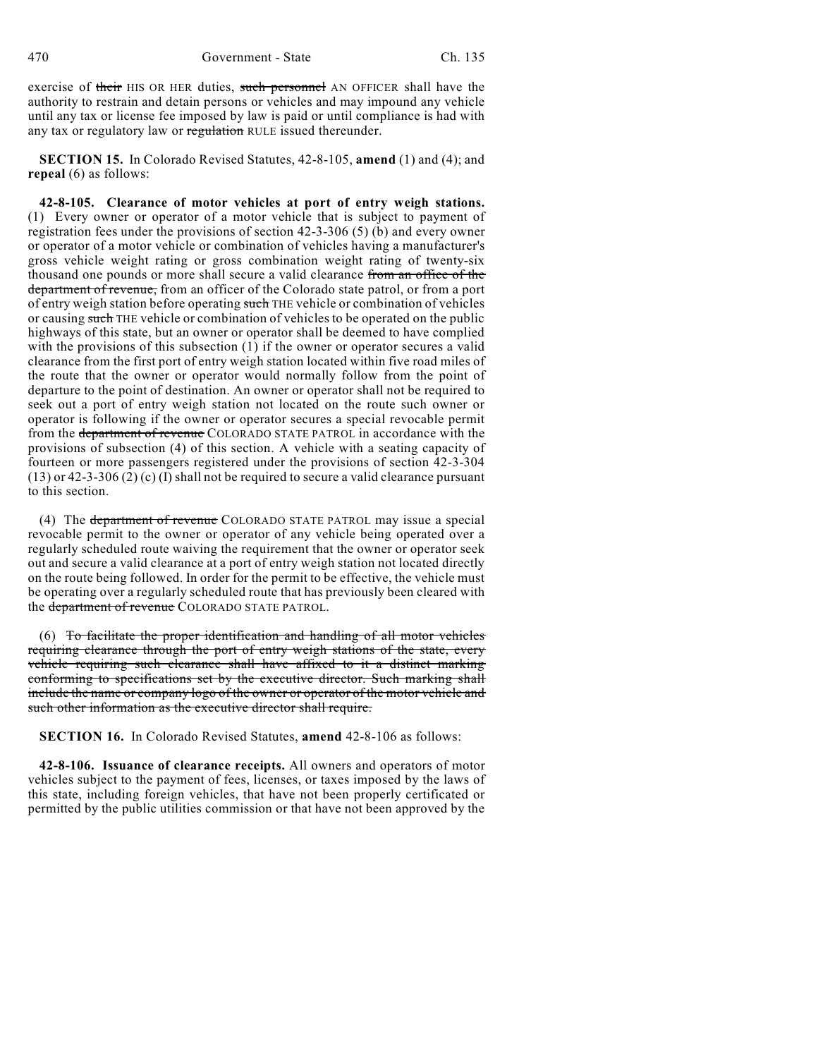exercise of their HIS OR HER duties, such personnel AN OFFICER shall have the authority to restrain and detain persons or vehicles and may impound any vehicle until any tax or license fee imposed by law is paid or until compliance is had with any tax or regulatory law or regulation RULE issued thereunder.

**SECTION 15.** In Colorado Revised Statutes, 42-8-105, **amend** (1) and (4); and **repeal** (6) as follows:

**42-8-105. Clearance of motor vehicles at port of entry weigh stations.** (1) Every owner or operator of a motor vehicle that is subject to payment of registration fees under the provisions of section 42-3-306 (5) (b) and every owner or operator of a motor vehicle or combination of vehicles having a manufacturer's gross vehicle weight rating or gross combination weight rating of twenty-six thousand one pounds or more shall secure a valid clearance from an office of the department of revenue, from an officer of the Colorado state patrol, or from a port of entry weigh station before operating such THE vehicle or combination of vehicles or causing such THE vehicle or combination of vehicles to be operated on the public highways of this state, but an owner or operator shall be deemed to have complied with the provisions of this subsection (1) if the owner or operator secures a valid clearance from the first port of entry weigh station located within five road miles of the route that the owner or operator would normally follow from the point of departure to the point of destination. An owner or operator shall not be required to seek out a port of entry weigh station not located on the route such owner or operator is following if the owner or operator secures a special revocable permit from the department of revenue COLORADO STATE PATROL in accordance with the provisions of subsection (4) of this section. A vehicle with a seating capacity of fourteen or more passengers registered under the provisions of section 42-3-304  $(13)$  or 42-3-306  $(2)$  (c) (I) shall not be required to secure a valid clearance pursuant to this section.

(4) The department of revenue COLORADO STATE PATROL may issue a special revocable permit to the owner or operator of any vehicle being operated over a regularly scheduled route waiving the requirement that the owner or operator seek out and secure a valid clearance at a port of entry weigh station not located directly on the route being followed. In order for the permit to be effective, the vehicle must be operating over a regularly scheduled route that has previously been cleared with the department of revenue COLORADO STATE PATROL.

(6) To facilitate the proper identification and handling of all motor vehicles requiring clearance through the port of entry weigh stations of the state, every vehicle requiring such clearance shall have affixed to it a distinct marking conforming to specifications set by the executive director. Such marking shall include the name or company logo of the owner or operator of the motor vehicle and such other information as the executive director shall require.

**SECTION 16.** In Colorado Revised Statutes, **amend** 42-8-106 as follows:

**42-8-106. Issuance of clearance receipts.** All owners and operators of motor vehicles subject to the payment of fees, licenses, or taxes imposed by the laws of this state, including foreign vehicles, that have not been properly certificated or permitted by the public utilities commission or that have not been approved by the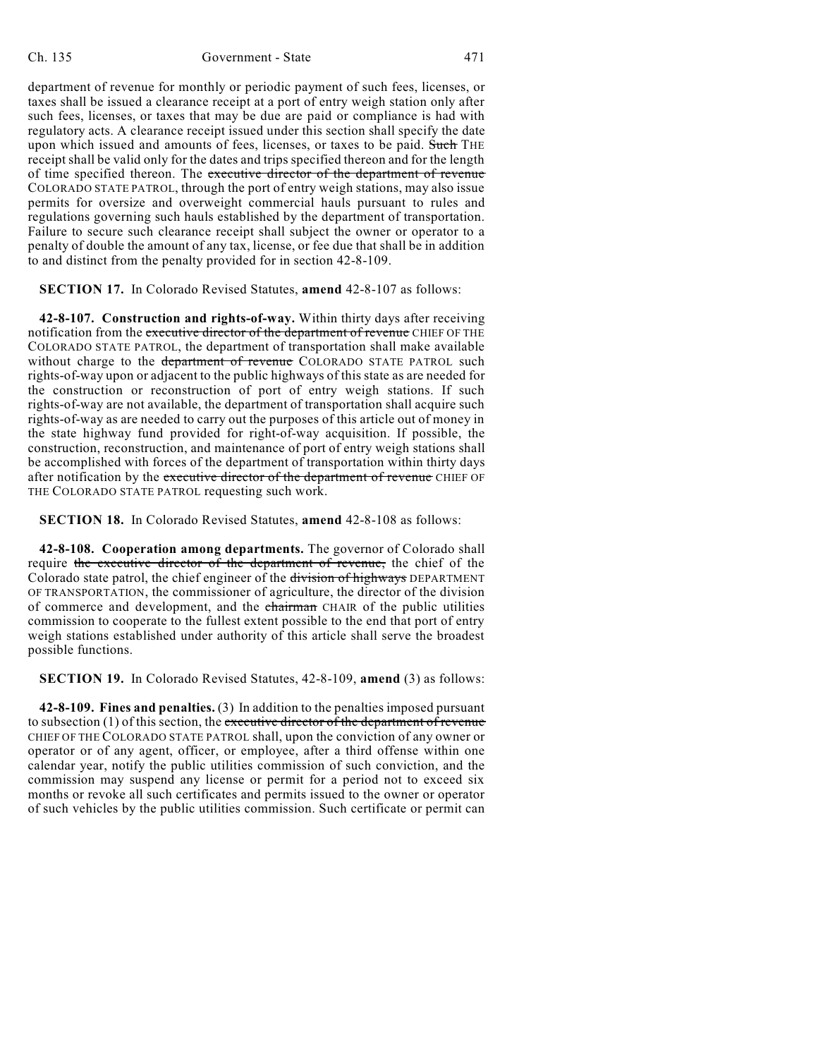department of revenue for monthly or periodic payment of such fees, licenses, or taxes shall be issued a clearance receipt at a port of entry weigh station only after such fees, licenses, or taxes that may be due are paid or compliance is had with regulatory acts. A clearance receipt issued under this section shall specify the date upon which issued and amounts of fees, licenses, or taxes to be paid. Such THE receipt shall be valid only for the dates and trips specified thereon and for the length of time specified thereon. The executive director of the department of revenue COLORADO STATE PATROL, through the port of entry weigh stations, may also issue permits for oversize and overweight commercial hauls pursuant to rules and regulations governing such hauls established by the department of transportation. Failure to secure such clearance receipt shall subject the owner or operator to a penalty of double the amount of any tax, license, or fee due that shall be in addition to and distinct from the penalty provided for in section 42-8-109.

### **SECTION 17.** In Colorado Revised Statutes, **amend** 42-8-107 as follows:

**42-8-107. Construction and rights-of-way.** Within thirty days after receiving notification from the executive director of the department of revenue CHIEF OF THE COLORADO STATE PATROL, the department of transportation shall make available without charge to the department of revenue COLORADO STATE PATROL such rights-of-way upon or adjacent to the public highways of this state as are needed for the construction or reconstruction of port of entry weigh stations. If such rights-of-way are not available, the department of transportation shall acquire such rights-of-way as are needed to carry out the purposes of this article out of money in the state highway fund provided for right-of-way acquisition. If possible, the construction, reconstruction, and maintenance of port of entry weigh stations shall be accomplished with forces of the department of transportation within thirty days after notification by the executive director of the department of revenue CHIEF OF THE COLORADO STATE PATROL requesting such work.

**SECTION 18.** In Colorado Revised Statutes, **amend** 42-8-108 as follows:

**42-8-108. Cooperation among departments.** The governor of Colorado shall require the executive director of the department of revenue, the chief of the Colorado state patrol, the chief engineer of the division of highways DEPARTMENT OF TRANSPORTATION, the commissioner of agriculture, the director of the division of commerce and development, and the chairman CHAIR of the public utilities commission to cooperate to the fullest extent possible to the end that port of entry weigh stations established under authority of this article shall serve the broadest possible functions.

**SECTION 19.** In Colorado Revised Statutes, 42-8-109, **amend** (3) as follows:

**42-8-109. Fines and penalties.** (3) In addition to the penalties imposed pursuant to subsection (1) of this section, the executive director of the department of revenue CHIEF OF THE COLORADO STATE PATROL shall, upon the conviction of any owner or operator or of any agent, officer, or employee, after a third offense within one calendar year, notify the public utilities commission of such conviction, and the commission may suspend any license or permit for a period not to exceed six months or revoke all such certificates and permits issued to the owner or operator of such vehicles by the public utilities commission. Such certificate or permit can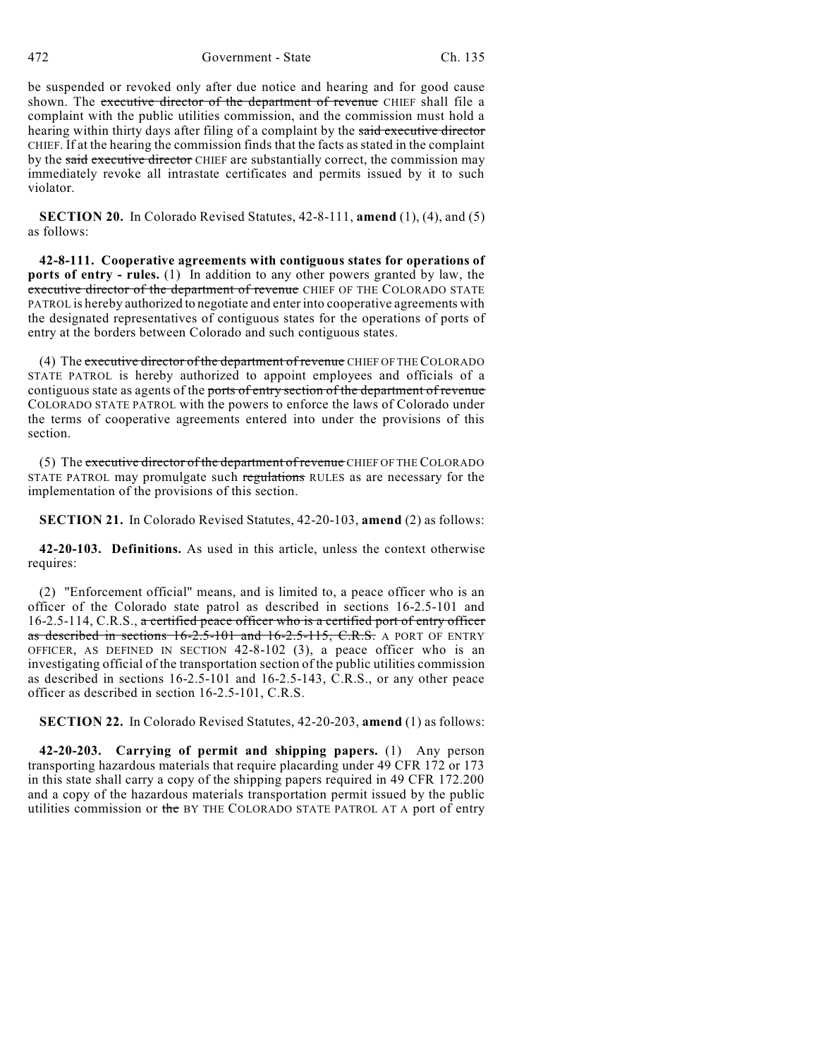be suspended or revoked only after due notice and hearing and for good cause shown. The executive director of the department of revenue CHIEF shall file a complaint with the public utilities commission, and the commission must hold a hearing within thirty days after filing of a complaint by the said executive director CHIEF. If at the hearing the commission finds that the facts as stated in the complaint by the said executive director CHIEF are substantially correct, the commission may immediately revoke all intrastate certificates and permits issued by it to such violator.

**SECTION 20.** In Colorado Revised Statutes, 42-8-111, **amend** (1), (4), and (5) as follows:

**42-8-111. Cooperative agreements with contiguous states for operations of ports of entry - rules.** (1) In addition to any other powers granted by law, the executive director of the department of revenue CHIEF OF THE COLORADO STATE PATROL is hereby authorized to negotiate and enter into cooperative agreements with the designated representatives of contiguous states for the operations of ports of entry at the borders between Colorado and such contiguous states.

(4) The executive director of the department of revenue CHIEF OF THE COLORADO STATE PATROL is hereby authorized to appoint employees and officials of a contiguous state as agents of the ports of entry section of the department of revenue COLORADO STATE PATROL with the powers to enforce the laws of Colorado under the terms of cooperative agreements entered into under the provisions of this section.

(5) The executive director of the department of revenue CHIEF OF THE COLORADO STATE PATROL may promulgate such regulations RULES as are necessary for the implementation of the provisions of this section.

**SECTION 21.** In Colorado Revised Statutes, 42-20-103, **amend** (2) as follows:

**42-20-103. Definitions.** As used in this article, unless the context otherwise requires:

(2) "Enforcement official" means, and is limited to, a peace officer who is an officer of the Colorado state patrol as described in sections 16-2.5-101 and 16-2.5-114, C.R.S., a certified peace officer who is a certified port of entry officer as described in sections 16-2.5-101 and 16-2.5-115, C.R.S. A PORT OF ENTRY OFFICER, AS DEFINED IN SECTION 42-8-102 (3), a peace officer who is an investigating official of the transportation section of the public utilities commission as described in sections 16-2.5-101 and 16-2.5-143, C.R.S., or any other peace officer as described in section 16-2.5-101, C.R.S.

**SECTION 22.** In Colorado Revised Statutes, 42-20-203, **amend** (1) as follows:

**42-20-203. Carrying of permit and shipping papers.** (1) Any person transporting hazardous materials that require placarding under 49 CFR 172 or 173 in this state shall carry a copy of the shipping papers required in 49 CFR 172.200 and a copy of the hazardous materials transportation permit issued by the public utilities commission or the BY THE COLORADO STATE PATROL AT A port of entry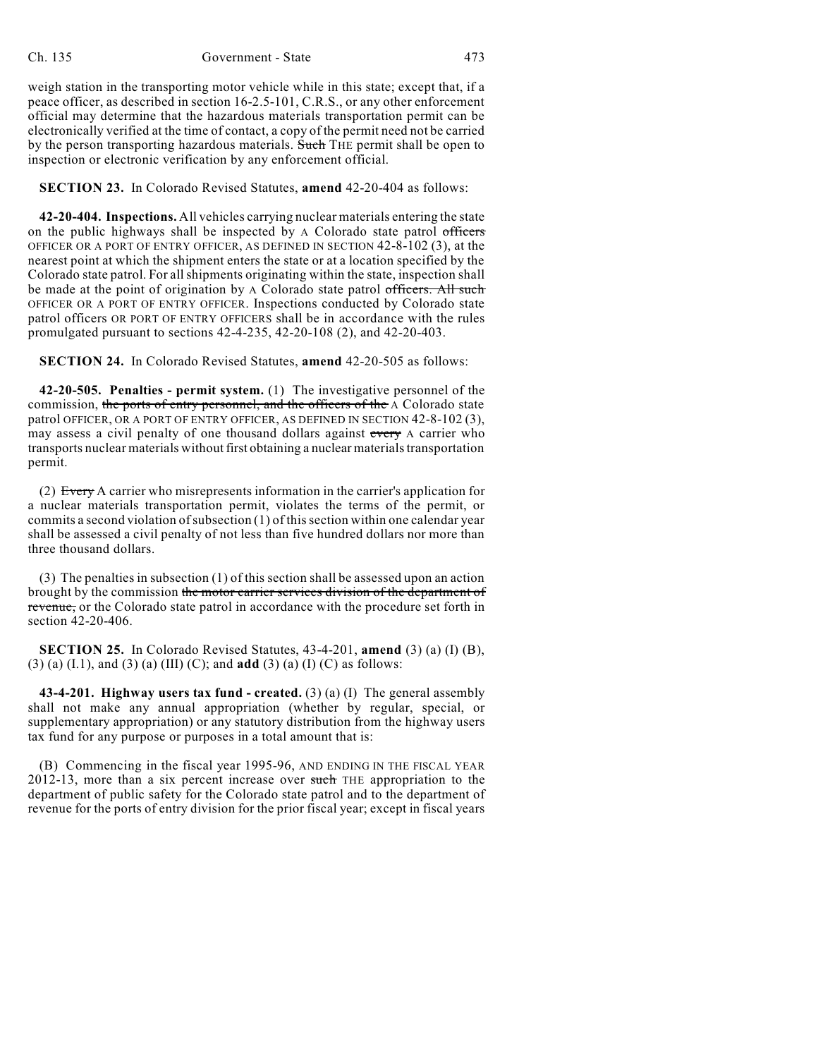weigh station in the transporting motor vehicle while in this state; except that, if a peace officer, as described in section 16-2.5-101, C.R.S., or any other enforcement official may determine that the hazardous materials transportation permit can be electronically verified at the time of contact, a copy of the permit need not be carried by the person transporting hazardous materials. Such THE permit shall be open to inspection or electronic verification by any enforcement official.

**SECTION 23.** In Colorado Revised Statutes, **amend** 42-20-404 as follows:

**42-20-404. Inspections.** All vehicles carrying nuclear materials entering the state on the public highways shall be inspected by A Colorado state patrol officers OFFICER OR A PORT OF ENTRY OFFICER, AS DEFINED IN SECTION 42-8-102 (3), at the nearest point at which the shipment enters the state or at a location specified by the Colorado state patrol. For allshipments originating within the state, inspection shall be made at the point of origination by A Colorado state patrol officers. All such OFFICER OR A PORT OF ENTRY OFFICER. Inspections conducted by Colorado state patrol officers OR PORT OF ENTRY OFFICERS shall be in accordance with the rules promulgated pursuant to sections 42-4-235, 42-20-108 (2), and 42-20-403.

**SECTION 24.** In Colorado Revised Statutes, **amend** 42-20-505 as follows:

**42-20-505. Penalties - permit system.** (1) The investigative personnel of the commission, the ports of entry personnel, and the officers of the A Colorado state patrol OFFICER, OR A PORT OF ENTRY OFFICER, AS DEFINED IN SECTION 42-8-102 (3), may assess a civil penalty of one thousand dollars against every A carrier who transports nuclear materials without first obtaining a nuclear materials transportation permit.

(2) Every A carrier who misrepresents information in the carrier's application for a nuclear materials transportation permit, violates the terms of the permit, or commits a second violation of subsection  $(1)$  of this section within one calendar year shall be assessed a civil penalty of not less than five hundred dollars nor more than three thousand dollars.

(3) The penalties in subsection (1) of this section shall be assessed upon an action brought by the commission the motor carrier services division of the department of revenue, or the Colorado state patrol in accordance with the procedure set forth in section 42-20-406.

**SECTION 25.** In Colorado Revised Statutes, 43-4-201, **amend** (3) (a) (I) (B), (3) (a) (I.1), and (3) (a) (III) (C); and **add** (3) (a) (I) (C) as follows:

**43-4-201. Highway users tax fund - created.** (3) (a) (I) The general assembly shall not make any annual appropriation (whether by regular, special, or supplementary appropriation) or any statutory distribution from the highway users tax fund for any purpose or purposes in a total amount that is:

(B) Commencing in the fiscal year 1995-96, AND ENDING IN THE FISCAL YEAR 2012-13, more than a six percent increase over such THE appropriation to the department of public safety for the Colorado state patrol and to the department of revenue for the ports of entry division for the prior fiscal year; except in fiscal years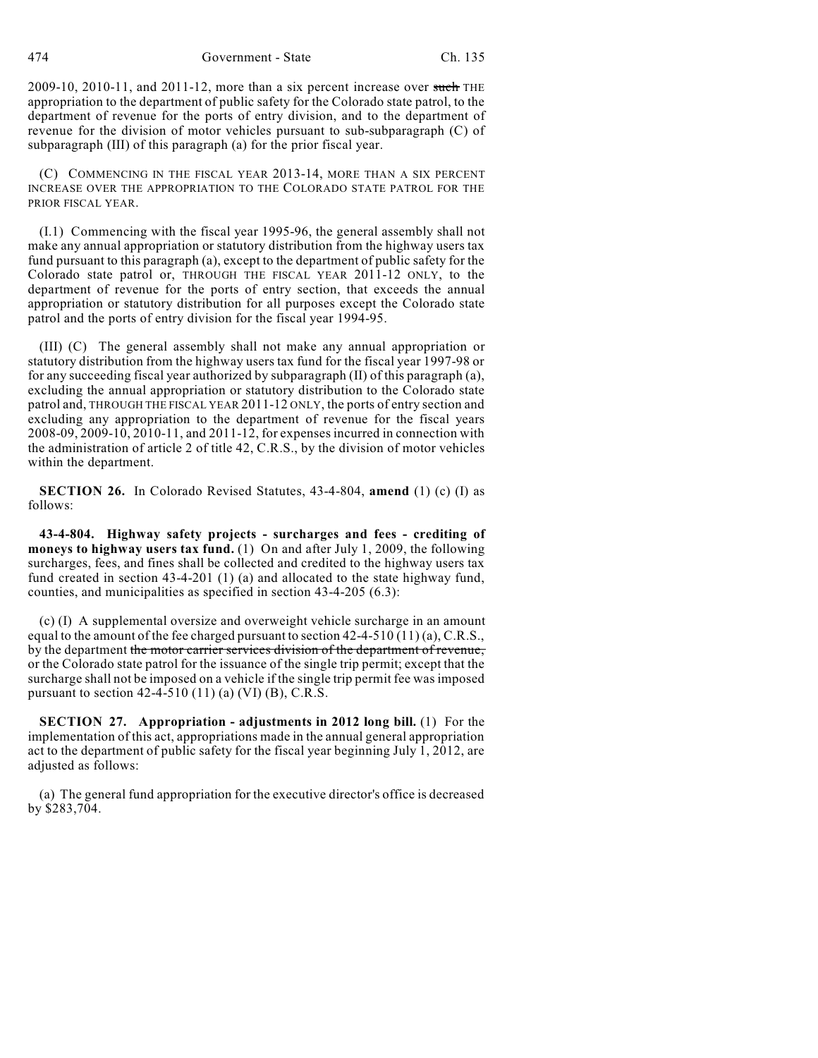2009-10, 2010-11, and 2011-12, more than a six percent increase over such THE appropriation to the department of public safety for the Colorado state patrol, to the department of revenue for the ports of entry division, and to the department of revenue for the division of motor vehicles pursuant to sub-subparagraph (C) of subparagraph (III) of this paragraph (a) for the prior fiscal year.

(C) COMMENCING IN THE FISCAL YEAR 2013-14, MORE THAN A SIX PERCENT INCREASE OVER THE APPROPRIATION TO THE COLORADO STATE PATROL FOR THE PRIOR FISCAL YEAR.

(I.1) Commencing with the fiscal year 1995-96, the general assembly shall not make any annual appropriation or statutory distribution from the highway users tax fund pursuant to this paragraph (a), except to the department of public safety for the Colorado state patrol or, THROUGH THE FISCAL YEAR 2011-12 ONLY, to the department of revenue for the ports of entry section, that exceeds the annual appropriation or statutory distribution for all purposes except the Colorado state patrol and the ports of entry division for the fiscal year 1994-95.

(III) (C) The general assembly shall not make any annual appropriation or statutory distribution from the highway users tax fund for the fiscal year 1997-98 or for any succeeding fiscal year authorized by subparagraph (II) of this paragraph (a), excluding the annual appropriation or statutory distribution to the Colorado state patrol and, THROUGH THE FISCAL YEAR 2011-12 ONLY, the ports of entry section and excluding any appropriation to the department of revenue for the fiscal years 2008-09, 2009-10, 2010-11, and 2011-12, for expenses incurred in connection with the administration of article 2 of title 42, C.R.S., by the division of motor vehicles within the department.

**SECTION 26.** In Colorado Revised Statutes, 43-4-804, **amend** (1) (c) (I) as follows:

**43-4-804. Highway safety projects - surcharges and fees - crediting of moneys to highway users tax fund.** (1) On and after July 1, 2009, the following surcharges, fees, and fines shall be collected and credited to the highway users tax fund created in section 43-4-201 (1) (a) and allocated to the state highway fund, counties, and municipalities as specified in section 43-4-205 (6.3):

(c) (I) A supplemental oversize and overweight vehicle surcharge in an amount equal to the amount of the fee charged pursuant to section  $42-4-510(11)(a)$ , C.R.S., by the department the motor carrier services division of the department of revenue, or the Colorado state patrol for the issuance of the single trip permit; except that the surcharge shall not be imposed on a vehicle if the single trip permit fee was imposed pursuant to section  $42-4-510$  (11) (a) (VI) (B), C.R.S.

**SECTION 27. Appropriation - adjustments in 2012 long bill.** (1) For the implementation of this act, appropriations made in the annual general appropriation act to the department of public safety for the fiscal year beginning July 1, 2012, are adjusted as follows:

(a) The general fund appropriation for the executive director's office is decreased by \$283,704.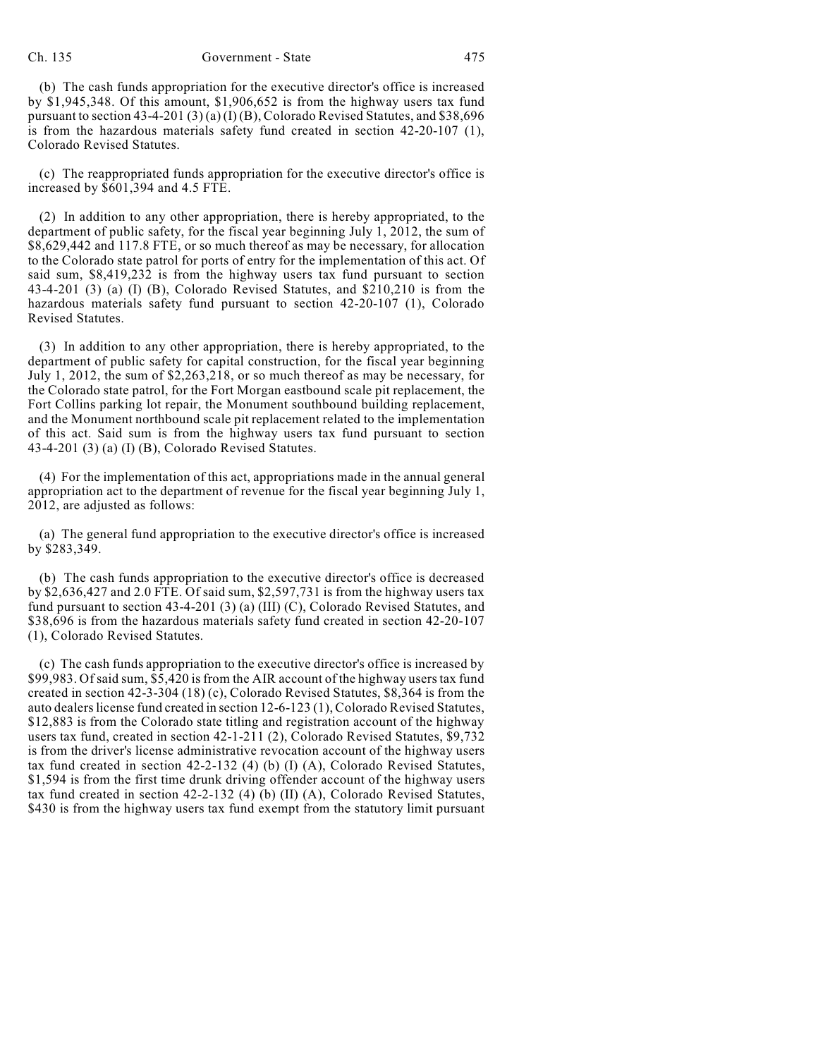(b) The cash funds appropriation for the executive director's office is increased by \$1,945,348. Of this amount, \$1,906,652 is from the highway users tax fund pursuant to section 43-4-201 (3) (a) (I) (B), Colorado Revised Statutes, and \$38,696 is from the hazardous materials safety fund created in section 42-20-107 (1), Colorado Revised Statutes.

(c) The reappropriated funds appropriation for the executive director's office is increased by \$601,394 and 4.5 FTE.

(2) In addition to any other appropriation, there is hereby appropriated, to the department of public safety, for the fiscal year beginning July 1, 2012, the sum of \$8,629,442 and 117.8 FTE, or so much thereof as may be necessary, for allocation to the Colorado state patrol for ports of entry for the implementation of this act. Of said sum, \$8,419,232 is from the highway users tax fund pursuant to section 43-4-201 (3) (a) (I) (B), Colorado Revised Statutes, and \$210,210 is from the hazardous materials safety fund pursuant to section 42-20-107 (1), Colorado Revised Statutes.

(3) In addition to any other appropriation, there is hereby appropriated, to the department of public safety for capital construction, for the fiscal year beginning July 1, 2012, the sum of \$2,263,218, or so much thereof as may be necessary, for the Colorado state patrol, for the Fort Morgan eastbound scale pit replacement, the Fort Collins parking lot repair, the Monument southbound building replacement, and the Monument northbound scale pit replacement related to the implementation of this act. Said sum is from the highway users tax fund pursuant to section 43-4-201 (3) (a) (I) (B), Colorado Revised Statutes.

(4) For the implementation of this act, appropriations made in the annual general appropriation act to the department of revenue for the fiscal year beginning July 1, 2012, are adjusted as follows:

(a) The general fund appropriation to the executive director's office is increased by \$283,349.

(b) The cash funds appropriation to the executive director's office is decreased by \$2,636,427 and 2.0 FTE. Of said sum, \$2,597,731 is from the highway users tax fund pursuant to section 43-4-201 (3) (a) (III) (C), Colorado Revised Statutes, and \$38,696 is from the hazardous materials safety fund created in section 42-20-107 (1), Colorado Revised Statutes.

(c) The cash funds appropriation to the executive director's office is increased by \$99,983. Ofsaid sum, \$5,420 is from the AIR account of the highway userstax fund created in section 42-3-304 (18) (c), Colorado Revised Statutes, \$8,364 is from the auto dealers license fund created in section 12-6-123 (1), Colorado Revised Statutes, \$12,883 is from the Colorado state titling and registration account of the highway users tax fund, created in section 42-1-211 (2), Colorado Revised Statutes, \$9,732 is from the driver's license administrative revocation account of the highway users tax fund created in section 42-2-132 (4) (b) (I) (A), Colorado Revised Statutes, \$1,594 is from the first time drunk driving offender account of the highway users tax fund created in section 42-2-132 (4) (b) (II) (A), Colorado Revised Statutes, \$430 is from the highway users tax fund exempt from the statutory limit pursuant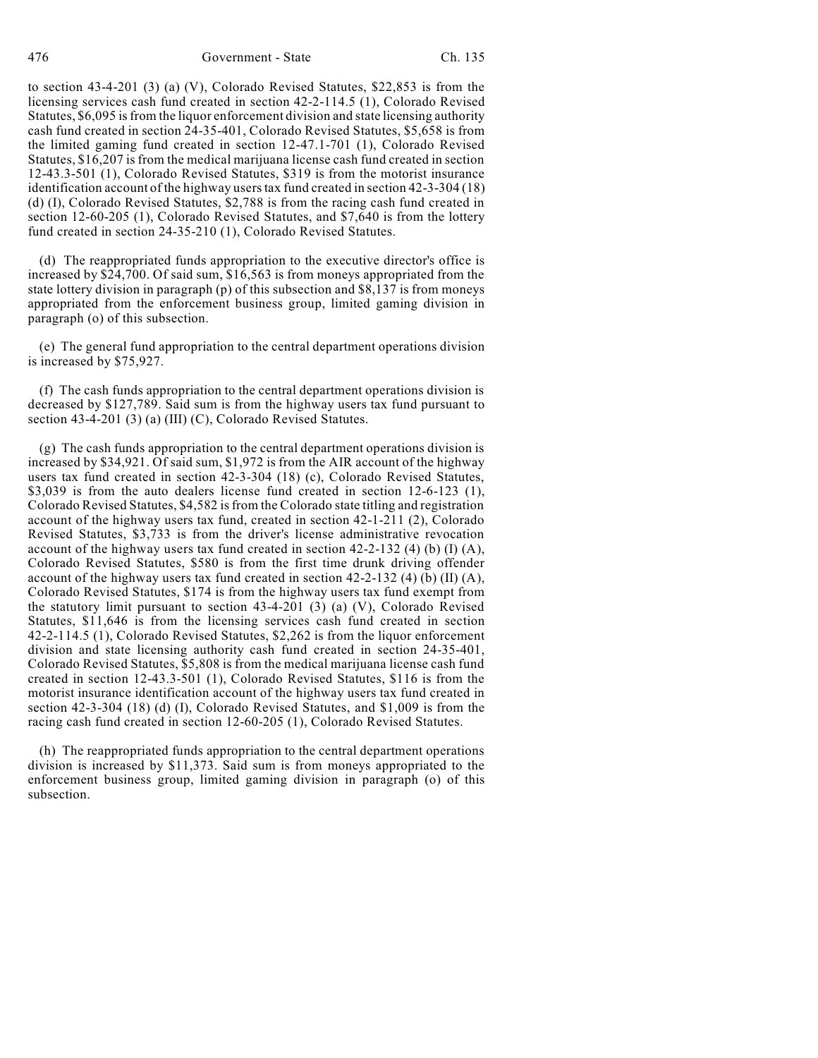to section 43-4-201 (3) (a) (V), Colorado Revised Statutes, \$22,853 is from the licensing services cash fund created in section 42-2-114.5 (1), Colorado Revised Statutes, \$6,095 isfrom the liquor enforcement division and state licensing authority cash fund created in section 24-35-401, Colorado Revised Statutes, \$5,658 is from the limited gaming fund created in section 12-47.1-701 (1), Colorado Revised Statutes, \$16,207 is from the medical marijuana license cash fund created in section 12-43.3-501 (1), Colorado Revised Statutes, \$319 is from the motorist insurance identification account of the highway users tax fund created in section 42-3-304 (18) (d) (I), Colorado Revised Statutes, \$2,788 is from the racing cash fund created in section 12-60-205 (1), Colorado Revised Statutes, and \$7,640 is from the lottery fund created in section 24-35-210 (1), Colorado Revised Statutes.

(d) The reappropriated funds appropriation to the executive director's office is increased by \$24,700. Of said sum, \$16,563 is from moneys appropriated from the state lottery division in paragraph (p) of this subsection and \$8,137 is from moneys appropriated from the enforcement business group, limited gaming division in paragraph (o) of this subsection.

(e) The general fund appropriation to the central department operations division is increased by \$75,927.

(f) The cash funds appropriation to the central department operations division is decreased by \$127,789. Said sum is from the highway users tax fund pursuant to section 43-4-201 (3) (a) (III) (C), Colorado Revised Statutes.

(g) The cash funds appropriation to the central department operations division is increased by \$34,921. Of said sum, \$1,972 is from the AIR account of the highway users tax fund created in section 42-3-304 (18) (c), Colorado Revised Statutes, \$3,039 is from the auto dealers license fund created in section 12-6-123 (1), Colorado Revised Statutes, \$4,582 isfrom the Colorado state titling and registration account of the highway users tax fund, created in section 42-1-211 (2), Colorado Revised Statutes, \$3,733 is from the driver's license administrative revocation account of the highway users tax fund created in section 42-2-132 (4) (b) (I) (A), Colorado Revised Statutes, \$580 is from the first time drunk driving offender account of the highway users tax fund created in section  $42-2-132$  (4) (b) (II) (A), Colorado Revised Statutes, \$174 is from the highway users tax fund exempt from the statutory limit pursuant to section 43-4-201 (3) (a) (V), Colorado Revised Statutes, \$11,646 is from the licensing services cash fund created in section 42-2-114.5 (1), Colorado Revised Statutes, \$2,262 is from the liquor enforcement division and state licensing authority cash fund created in section 24-35-401, Colorado Revised Statutes, \$5,808 is from the medical marijuana license cash fund created in section 12-43.3-501 (1), Colorado Revised Statutes, \$116 is from the motorist insurance identification account of the highway users tax fund created in section 42-3-304 (18) (d) (I), Colorado Revised Statutes, and \$1,009 is from the racing cash fund created in section 12-60-205 (1), Colorado Revised Statutes.

(h) The reappropriated funds appropriation to the central department operations division is increased by \$11,373. Said sum is from moneys appropriated to the enforcement business group, limited gaming division in paragraph (o) of this subsection.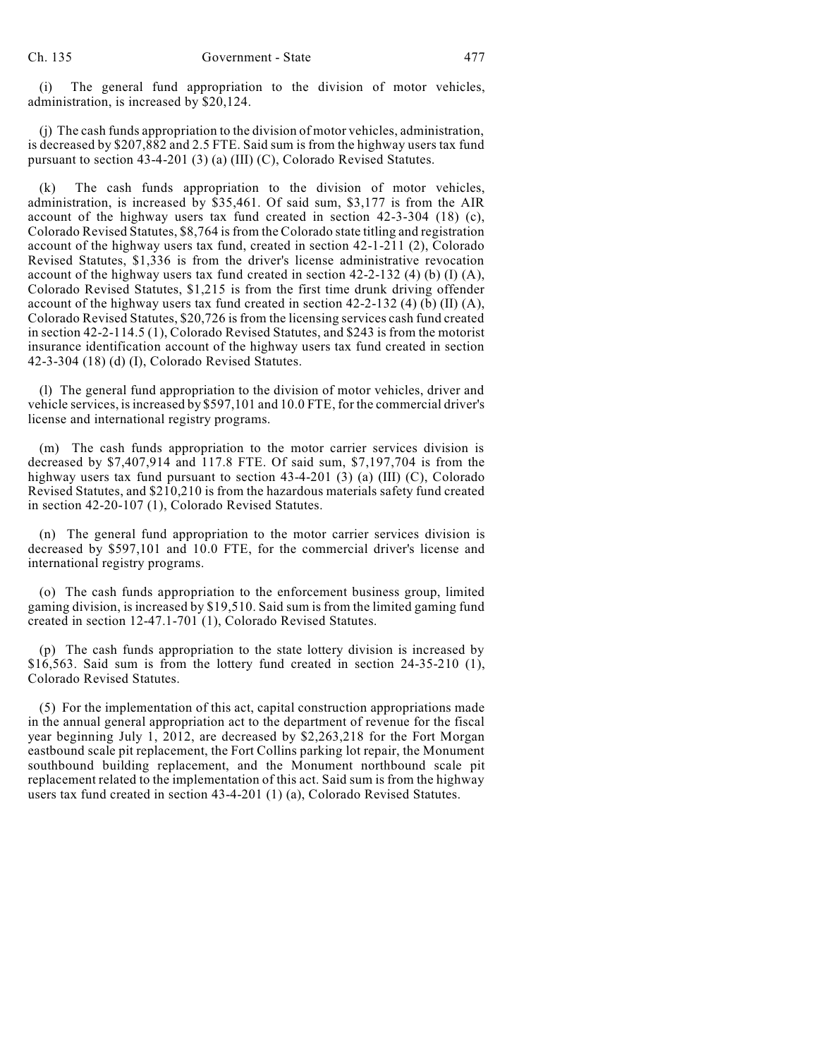(i) The general fund appropriation to the division of motor vehicles, administration, is increased by \$20,124.

(j) The cash funds appropriation to the division of motor vehicles, administration, is decreased by \$207,882 and 2.5 FTE. Said sum is from the highway users tax fund pursuant to section 43-4-201 (3) (a) (III) (C), Colorado Revised Statutes.

(k) The cash funds appropriation to the division of motor vehicles, administration, is increased by \$35,461. Of said sum, \$3,177 is from the AIR account of the highway users tax fund created in section 42-3-304 (18) (c), Colorado Revised Statutes, \$8,764 isfrom the Colorado state titling and registration account of the highway users tax fund, created in section 42-1-211 (2), Colorado Revised Statutes, \$1,336 is from the driver's license administrative revocation account of the highway users tax fund created in section  $42-2-132$  (4) (b) (I) (A), Colorado Revised Statutes, \$1,215 is from the first time drunk driving offender account of the highway users tax fund created in section  $42-2-132$  (4) (b) (II) (A), Colorado Revised Statutes, \$20,726 is from the licensing services cash fund created in section 42-2-114.5 (1), Colorado Revised Statutes, and \$243 is from the motorist insurance identification account of the highway users tax fund created in section 42-3-304 (18) (d) (I), Colorado Revised Statutes.

(l) The general fund appropriation to the division of motor vehicles, driver and vehicle services, isincreased by \$597,101 and 10.0 FTE, for the commercial driver's license and international registry programs.

(m) The cash funds appropriation to the motor carrier services division is decreased by \$7,407,914 and 117.8 FTE. Of said sum, \$7,197,704 is from the highway users tax fund pursuant to section 43-4-201 (3) (a) (III) (C), Colorado Revised Statutes, and \$210,210 is from the hazardous materials safety fund created in section 42-20-107 (1), Colorado Revised Statutes.

(n) The general fund appropriation to the motor carrier services division is decreased by \$597,101 and 10.0 FTE, for the commercial driver's license and international registry programs.

(o) The cash funds appropriation to the enforcement business group, limited gaming division, is increased by \$19,510. Said sum is from the limited gaming fund created in section 12-47.1-701 (1), Colorado Revised Statutes.

(p) The cash funds appropriation to the state lottery division is increased by  $$16,563$ . Said sum is from the lottery fund created in section 24-35-210 (1), Colorado Revised Statutes.

(5) For the implementation of this act, capital construction appropriations made in the annual general appropriation act to the department of revenue for the fiscal year beginning July 1, 2012, are decreased by \$2,263,218 for the Fort Morgan eastbound scale pit replacement, the Fort Collins parking lot repair, the Monument southbound building replacement, and the Monument northbound scale pit replacement related to the implementation of this act. Said sum is from the highway users tax fund created in section 43-4-201 (1) (a), Colorado Revised Statutes.